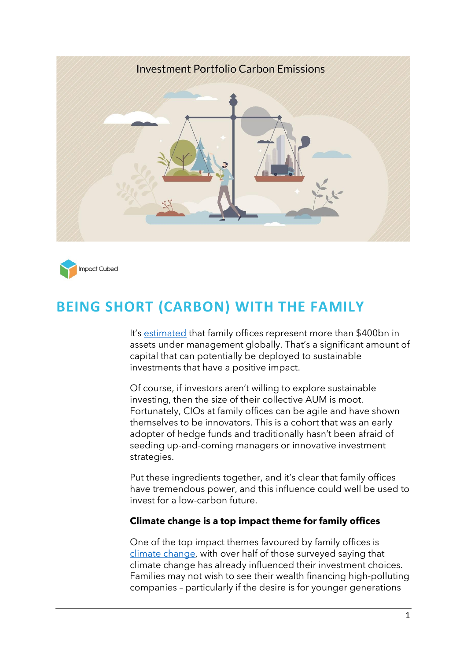



# **BEING SHORT (CARBON) WITH THE FAMILY**

It's [estimated](https://www.rbcwealthmanagement.com/_assets/documents/cmp/the-north-america-family-office-report-2021-final-ua.pdf) that family offices represent more than \$400bn in assets under management globally. That's a significant amount of capital that can potentially be deployed to sustainable investments that have a positive impact.

Of course, if investors aren't willing to explore sustainable investing, then the size of their collective AUM is moot. Fortunately, CIOs at family offices can be agile and have shown themselves to be innovators. This is a cohort that was an early adopter of hedge funds and traditionally hasn't been afraid of seeding up-and-coming managers or innovative investment strategies.

Put these ingredients together, and it's clear that family offices have tremendous power, and this influence could well be used to invest for a low-carbon future.

#### **Climate change is a top impact theme for family offices**

One of the top impact themes favoured by family offices is [climate change,](https://www.ubs.com/global/en/global-family-office/reports/gfo-r-21-4-client.html) with over half of those surveyed saying that climate change has already influenced their investment choices. Families may not wish to see their wealth financing high-polluting companies – particularly if the desire is for younger generations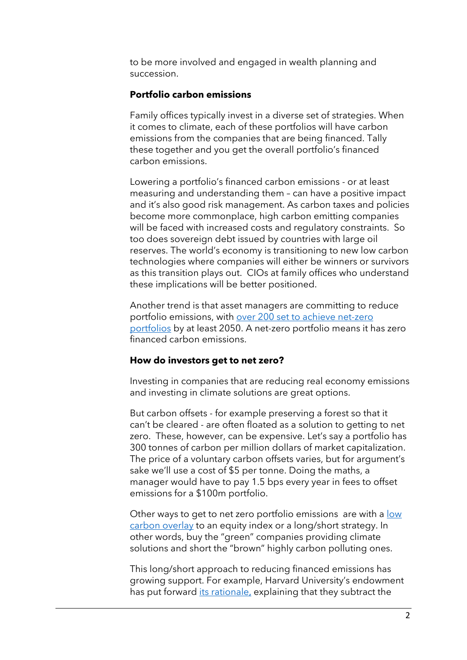to be more involved and engaged in wealth planning and succession.

### **Portfolio carbon emissions**

Family offices typically invest in a diverse set of strategies. When it comes to climate, each of these portfolios will have carbon emissions from the companies that are being financed. Tally these together and you get the overall portfolio's financed carbon emissions.

Lowering a portfolio's financed carbon emissions - or at least measuring and understanding them – can have a positive impact and it's also good risk management. As carbon taxes and policies become more commonplace, high carbon emitting companies will be faced with increased costs and regulatory constraints. So too does sovereign debt issued by countries with large oil reserves. The world's economy is transitioning to new low carbon technologies where companies will either be winners or survivors as this transition plays out. CIOs at family offices who understand these implications will be better positioned.

Another trend is that asset managers are committing to reduce portfolio emissions, with over 200 set to [achieve net-zero](https://unfccc.int/news/asset-owners-with-85-trillion-commit-to-net-zero-emissions)  [portfolios](https://unfccc.int/news/asset-owners-with-85-trillion-commit-to-net-zero-emissions) by at least 2050. A net-zero portfolio means it has zero financed carbon emissions.

#### **How do investors get to net zero?**

Investing in companies that are reducing real economy emissions and investing in climate solutions are great options.

But carbon offsets - for example preserving a forest so that it can't be cleared - are often floated as a solution to getting to net zero. These, however, can be expensive. Let's say a portfolio has 300 tonnes of carbon per million dollars of market capitalization. The price of a voluntary carbon offsets varies, but for argument's sake we'll use a cost of \$5 per tonne. Doing the maths, a manager would have to pay 1.5 bps every year in fees to offset emissions for a \$100m portfolio.

Other ways to get to net zero portfolio emissions are with a [low](https://www.impact-cubed.com/publication?file=FOMO%20ESG%20Try%20Overlays_Impact%20Cubed%20Short%20Read_%20July2021.pdf)  [carbon overlay](https://www.impact-cubed.com/publication?file=FOMO%20ESG%20Try%20Overlays_Impact%20Cubed%20Short%20Read_%20July2021.pdf) to an equity index or a long/short strategy. In other words, buy the "green" companies providing climate solutions and short the "brown" highly carbon polluting ones.

This long/short approach to reducing financed emissions has growing support. For example, Harvard University's endowment has put forward [its rationale](https://www.bloomberg.com/news/articles/2021-06-30/harvard-s-money-manager-has-a-plan-to-turn-short-sellers-against-emitters), explaining that they subtract the